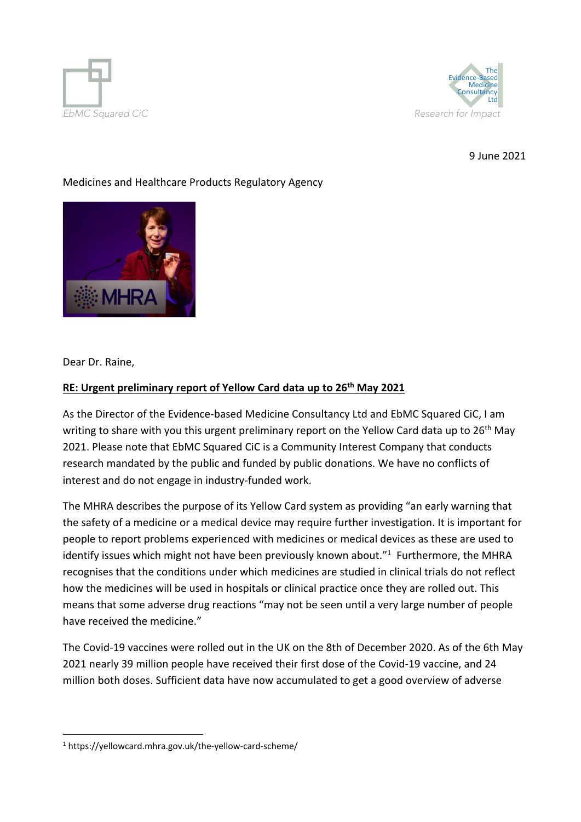



9 June 2021

### Medicines and Healthcare Products Regulatory Agency



Dear Dr. Raine,

#### **RE: Urgent preliminary report of Yellow Card data up to 26th May 2021**

As the Director of the Evidence-based Medicine Consultancy Ltd and EbMC Squared CiC, I am writing to share with you this urgent preliminary report on the Yellow Card data up to 26<sup>th</sup> May 2021. Please note that EbMC Squared CiC is a Community Interest Company that conducts research mandated by the public and funded by public donations. We have no conflicts of interest and do not engage in industry-funded work.

The MHRA describes the purpose of its Yellow Card system as providing "an early warning that the safety of a medicine or a medical device may require further investigation. It is important for people to report problems experienced with medicines or medical devices as these are used to identify issues which might not have been previously known about."<sup>1</sup> Furthermore, the MHRA recognises that the conditions under which medicines are studied in clinical trials do not reflect how the medicines will be used in hospitals or clinical practice once they are rolled out. This means that some adverse drug reactions "may not be seen until a very large number of people have received the medicine."

The Covid-19 vaccines were rolled out in the UK on the 8th of December 2020. As of the 6th May 2021 nearly 39 million people have received their first dose of the Covid-19 vaccine, and 24 million both doses. Sufficient data have now accumulated to get a good overview of adverse

<sup>1</sup> https://yellowcard.mhra.gov.uk/the-yellow-card-scheme/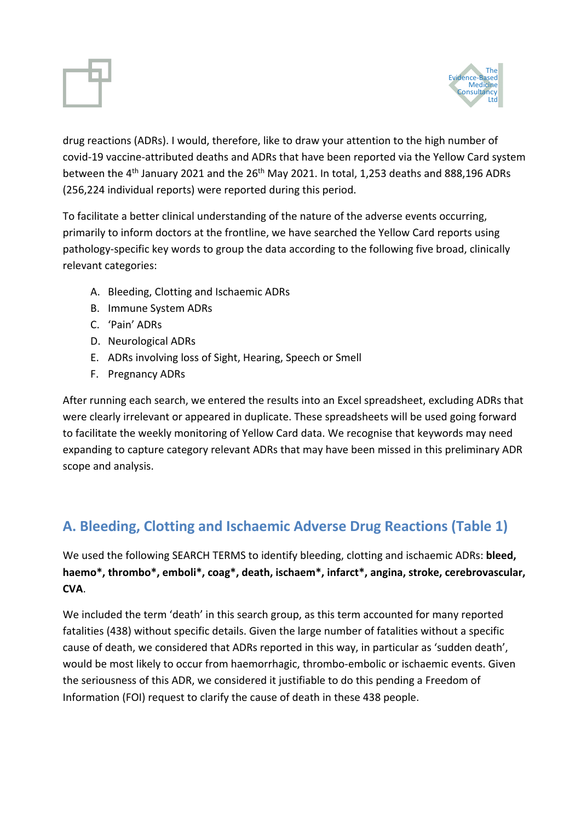



drug reactions (ADRs). I would, therefore, like to draw your attention to the high number of covid-19 vaccine-attributed deaths and ADRs that have been reported via the Yellow Card system between the 4<sup>th</sup> January 2021 and the 26<sup>th</sup> May 2021. In total, 1,253 deaths and 888,196 ADRs (256,224 individual reports) were reported during this period.

To facilitate a better clinical understanding of the nature of the adverse events occurring, primarily to inform doctors at the frontline, we have searched the Yellow Card reports using pathology-specific key words to group the data according to the following five broad, clinically relevant categories:

- A. Bleeding, Clotting and Ischaemic ADRs
- B. Immune System ADRs
- C. 'Pain' ADRs
- D. Neurological ADRs
- E. ADRs involving loss of Sight, Hearing, Speech or Smell
- F. Pregnancy ADRs

After running each search, we entered the results into an Excel spreadsheet, excluding ADRs that were clearly irrelevant or appeared in duplicate. These spreadsheets will be used going forward to facilitate the weekly monitoring of Yellow Card data. We recognise that keywords may need expanding to capture category relevant ADRs that may have been missed in this preliminary ADR scope and analysis.

## **A. Bleeding, Clotting and Ischaemic Adverse Drug Reactions (Table 1)**

We used the following SEARCH TERMS to identify bleeding, clotting and ischaemic ADRs: **bleed, haemo\*, thrombo\*, emboli\*, coag\*, death, ischaem\*, infarct\*, angina, stroke, cerebrovascular, CVA**.

We included the term 'death' in this search group, as this term accounted for many reported fatalities (438) without specific details. Given the large number of fatalities without a specific cause of death, we considered that ADRs reported in this way, in particular as 'sudden death', would be most likely to occur from haemorrhagic, thrombo-embolic or ischaemic events. Given the seriousness of this ADR, we considered it justifiable to do this pending a Freedom of Information (FOI) request to clarify the cause of death in these 438 people.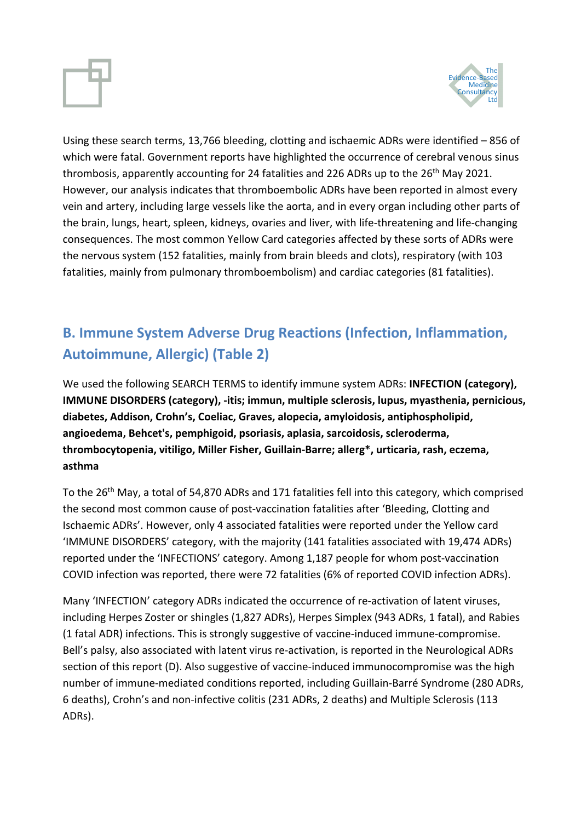

Using these search terms, 13,766 bleeding, clotting and ischaemic ADRs were identified – 856 of which were fatal. Government reports have highlighted the occurrence of cerebral venous sinus thrombosis, apparently accounting for 24 fatalities and 226 ADRs up to the 26<sup>th</sup> May 2021. However, our analysis indicates that thromboembolic ADRs have been reported in almost every vein and artery, including large vessels like the aorta, and in every organ including other parts of the brain, lungs, heart, spleen, kidneys, ovaries and liver, with life-threatening and life-changing consequences. The most common Yellow Card categories affected by these sorts of ADRs were the nervous system (152 fatalities, mainly from brain bleeds and clots), respiratory (with 103 fatalities, mainly from pulmonary thromboembolism) and cardiac categories (81 fatalities).

# **B. Immune System Adverse Drug Reactions (Infection, Inflammation, Autoimmune, Allergic) (Table 2)**

We used the following SEARCH TERMS to identify immune system ADRs: **INFECTION (category), IMMUNE DISORDERS (category), -itis; immun, multiple sclerosis, lupus, myasthenia, pernicious, diabetes, Addison, Crohn's, Coeliac, Graves, alopecia, amyloidosis, antiphospholipid, angioedema, Behcet's, pemphigoid, psoriasis, aplasia, sarcoidosis, scleroderma, thrombocytopenia, vitiligo, Miller Fisher, Guillain-Barre; allerg\*, urticaria, rash, eczema, asthma**

To the 26th May, a total of 54,870 ADRs and 171 fatalities fell into this category, which comprised the second most common cause of post-vaccination fatalities after 'Bleeding, Clotting and Ischaemic ADRs'. However, only 4 associated fatalities were reported under the Yellow card 'IMMUNE DISORDERS' category, with the majority (141 fatalities associated with 19,474 ADRs) reported under the 'INFECTIONS' category. Among 1,187 people for whom post-vaccination COVID infection was reported, there were 72 fatalities (6% of reported COVID infection ADRs).

Many 'INFECTION' category ADRs indicated the occurrence of re-activation of latent viruses, including Herpes Zoster or shingles (1,827 ADRs), Herpes Simplex (943 ADRs, 1 fatal), and Rabies (1 fatal ADR) infections. This is strongly suggestive of vaccine-induced immune-compromise. Bell's palsy, also associated with latent virus re-activation, is reported in the Neurological ADRs section of this report (D). Also suggestive of vaccine-induced immunocompromise was the high number of immune-mediated conditions reported, including Guillain-Barré Syndrome (280 ADRs, 6 deaths), Crohn's and non-infective colitis (231 ADRs, 2 deaths) and Multiple Sclerosis (113 ADRs).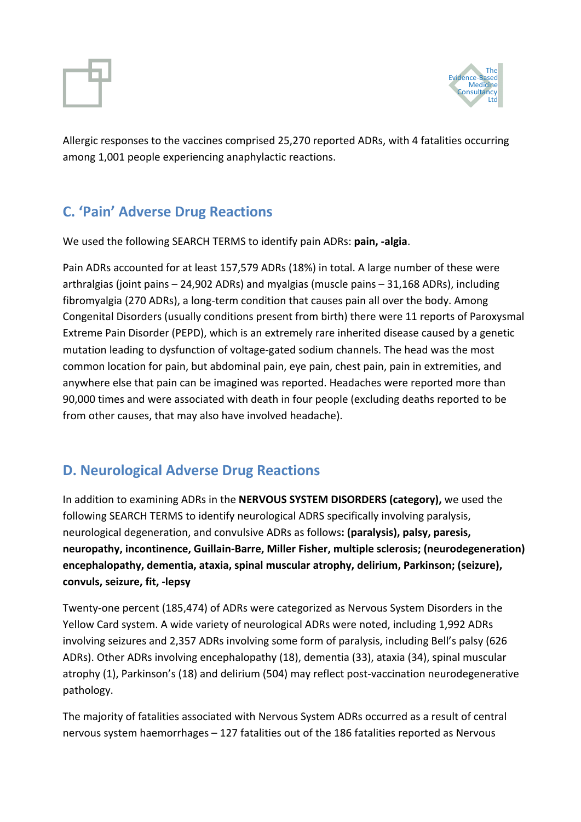



Allergic responses to the vaccines comprised 25,270 reported ADRs, with 4 fatalities occurring among 1,001 people experiencing anaphylactic reactions.

## **C. 'Pain' Adverse Drug Reactions**

We used the following SEARCH TERMS to identify pain ADRs: **pain, -algia**.

Pain ADRs accounted for at least 157,579 ADRs (18%) in total. A large number of these were arthralgias (joint pains – 24,902 ADRs) and myalgias (muscle pains – 31,168 ADRs), including fibromyalgia (270 ADRs), a long-term condition that causes pain all over the body. Among Congenital Disorders (usually conditions present from birth) there were 11 reports of Paroxysmal Extreme Pain Disorder (PEPD), which is an extremely rare inherited disease caused by a genetic mutation leading to dysfunction of voltage-gated sodium channels. The head was the most common location for pain, but abdominal pain, eye pain, chest pain, pain in extremities, and anywhere else that pain can be imagined was reported. Headaches were reported more than 90,000 times and were associated with death in four people (excluding deaths reported to be from other causes, that may also have involved headache).

## **D. Neurological Adverse Drug Reactions**

In addition to examining ADRs in the **NERVOUS SYSTEM DISORDERS (category),** we used the following SEARCH TERMS to identify neurological ADRS specifically involving paralysis, neurological degeneration, and convulsive ADRs as follows**: (paralysis), palsy, paresis, neuropathy, incontinence, Guillain-Barre, Miller Fisher, multiple sclerosis; (neurodegeneration) encephalopathy, dementia, ataxia, spinal muscular atrophy, delirium, Parkinson; (seizure), convuls, seizure, fit, -lepsy**

Twenty-one percent (185,474) of ADRs were categorized as Nervous System Disorders in the Yellow Card system. A wide variety of neurological ADRs were noted, including 1,992 ADRs involving seizures and 2,357 ADRs involving some form of paralysis, including Bell's palsy (626 ADRs). Other ADRs involving encephalopathy (18), dementia (33), ataxia (34), spinal muscular atrophy (1), Parkinson's (18) and delirium (504) may reflect post-vaccination neurodegenerative pathology.

The majority of fatalities associated with Nervous System ADRs occurred as a result of central nervous system haemorrhages – 127 fatalities out of the 186 fatalities reported as Nervous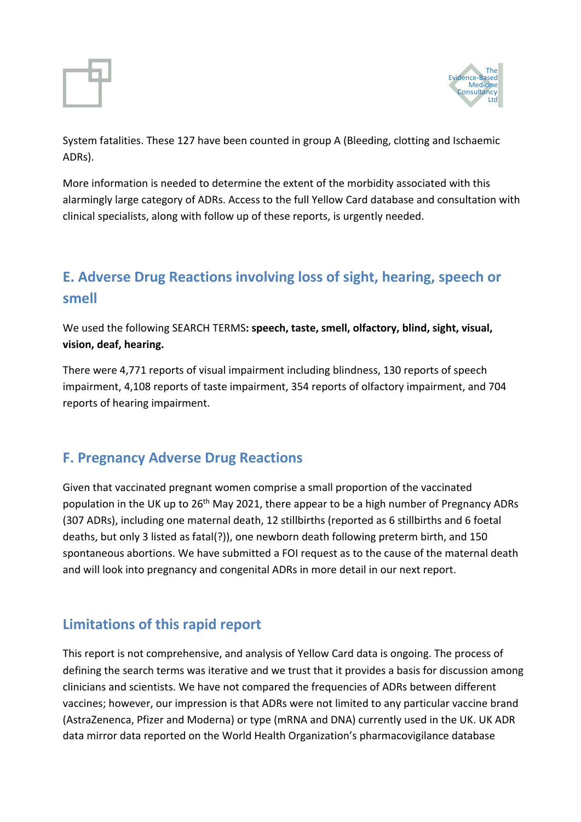



System fatalities. These 127 have been counted in group A (Bleeding, clotting and Ischaemic ADRs).

More information is needed to determine the extent of the morbidity associated with this alarmingly large category of ADRs. Access to the full Yellow Card database and consultation with clinical specialists, along with follow up of these reports, is urgently needed.

## **E. Adverse Drug Reactions involving loss of sight, hearing, speech or smell**

We used the following SEARCH TERMS**: speech, taste, smell, olfactory, blind, sight, visual, vision, deaf, hearing.**

There were 4,771 reports of visual impairment including blindness, 130 reports of speech impairment, 4,108 reports of taste impairment, 354 reports of olfactory impairment, and 704 reports of hearing impairment.

## **F. Pregnancy Adverse Drug Reactions**

Given that vaccinated pregnant women comprise a small proportion of the vaccinated population in the UK up to 26<sup>th</sup> May 2021, there appear to be a high number of Pregnancy ADRs (307 ADRs), including one maternal death, 12 stillbirths (reported as 6 stillbirths and 6 foetal deaths, but only 3 listed as fatal(?)), one newborn death following preterm birth, and 150 spontaneous abortions. We have submitted a FOI request as to the cause of the maternal death and will look into pregnancy and congenital ADRs in more detail in our next report.

## **Limitations of this rapid report**

This report is not comprehensive, and analysis of Yellow Card data is ongoing. The process of defining the search terms was iterative and we trust that it provides a basis for discussion among clinicians and scientists. We have not compared the frequencies of ADRs between different vaccines; however, our impression is that ADRs were not limited to any particular vaccine brand (AstraZenenca, Pfizer and Moderna) or type (mRNA and DNA) currently used in the UK. UK ADR data mirror data reported on the World Health Organization's pharmacovigilance database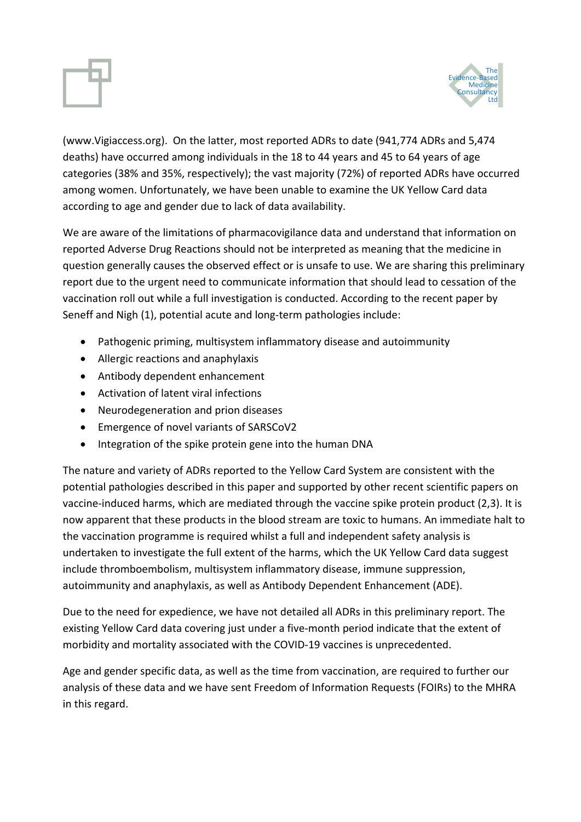

(www.Vigiaccess.org). On the latter, most reported ADRs to date (941,774 ADRs and 5,474 deaths) have occurred among individuals in the 18 to 44 years and 45 to 64 years of age categories (38% and 35%, respectively); the vast majority (72%) of reported ADRs have occurred among women. Unfortunately, we have been unable to examine the UK Yellow Card data according to age and gender due to lack of data availability.

We are aware of the limitations of pharmacovigilance data and understand that information on reported Adverse Drug Reactions should not be interpreted as meaning that the medicine in question generally causes the observed effect or is unsafe to use. We are sharing this preliminary report due to the urgent need to communicate information that should lead to cessation of the vaccination roll out while a full investigation is conducted. According to the recent paper by Seneff and Nigh (1), potential acute and long-term pathologies include:

- Pathogenic priming, multisystem inflammatory disease and autoimmunity
- Allergic reactions and anaphylaxis
- Antibody dependent enhancement
- Activation of latent viral infections
- Neurodegeneration and prion diseases
- Emergence of novel variants of SARSCoV2
- Integration of the spike protein gene into the human DNA

The nature and variety of ADRs reported to the Yellow Card System are consistent with the potential pathologies described in this paper and supported by other recent scientific papers on vaccine-induced harms, which are mediated through the vaccine spike protein product (2,3). It is now apparent that these products in the blood stream are toxic to humans. An immediate halt to the vaccination programme is required whilst a full and independent safety analysis is undertaken to investigate the full extent of the harms, which the UK Yellow Card data suggest include thromboembolism, multisystem inflammatory disease, immune suppression, autoimmunity and anaphylaxis, as well as Antibody Dependent Enhancement (ADE).

Due to the need for expedience, we have not detailed all ADRs in this preliminary report. The existing Yellow Card data covering just under a five-month period indicate that the extent of morbidity and mortality associated with the COVID-19 vaccines is unprecedented.

Age and gender specific data, as well as the time from vaccination, are required to further our analysis of these data and we have sent Freedom of Information Requests (FOIRs) to the MHRA in this regard.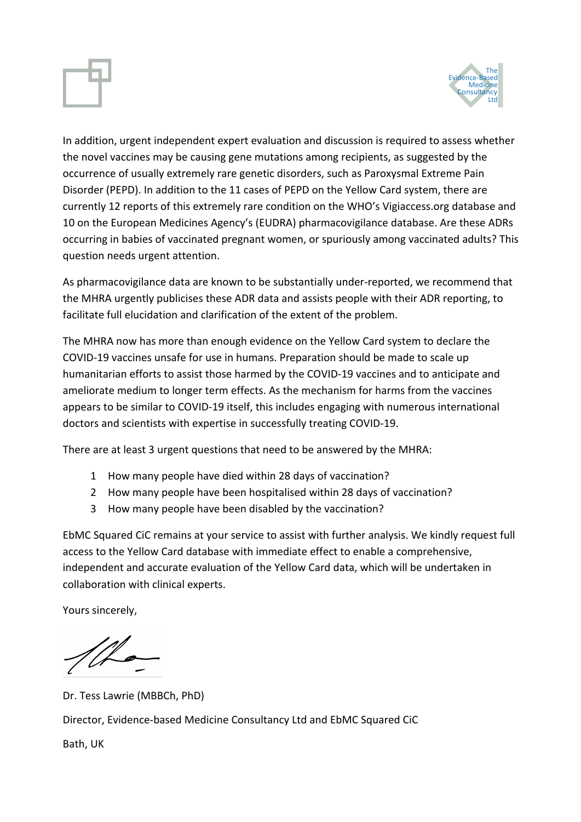

In addition, urgent independent expert evaluation and discussion is required to assess whether the novel vaccines may be causing gene mutations among recipients, as suggested by the occurrence of usually extremely rare genetic disorders, such as Paroxysmal Extreme Pain Disorder (PEPD). In addition to the 11 cases of PEPD on the Yellow Card system, there are currently 12 reports of this extremely rare condition on the WHO's Vigiaccess.org database and 10 on the European Medicines Agency's (EUDRA) pharmacovigilance database. Are these ADRs occurring in babies of vaccinated pregnant women, or spuriously among vaccinated adults? This question needs urgent attention.

As pharmacovigilance data are known to be substantially under-reported, we recommend that the MHRA urgently publicises these ADR data and assists people with their ADR reporting, to facilitate full elucidation and clarification of the extent of the problem.

The MHRA now has more than enough evidence on the Yellow Card system to declare the COVID-19 vaccines unsafe for use in humans. Preparation should be made to scale up humanitarian efforts to assist those harmed by the COVID-19 vaccines and to anticipate and ameliorate medium to longer term effects. As the mechanism for harms from the vaccines appears to be similar to COVID-19 itself, this includes engaging with numerous international doctors and scientists with expertise in successfully treating COVID-19.

There are at least 3 urgent questions that need to be answered by the MHRA:

- 1 How many people have died within 28 days of vaccination?
- 2 How many people have been hospitalised within 28 days of vaccination?
- 3 How many people have been disabled by the vaccination?

EbMC Squared CiC remains at your service to assist with further analysis. We kindly request full access to the Yellow Card database with immediate effect to enable a comprehensive, independent and accurate evaluation of the Yellow Card data, which will be undertaken in collaboration with clinical experts.

Yours sincerely,

Dr. Tess Lawrie (MBBCh, PhD) Director, Evidence-based Medicine Consultancy Ltd and EbMC Squared CiC

Bath, UK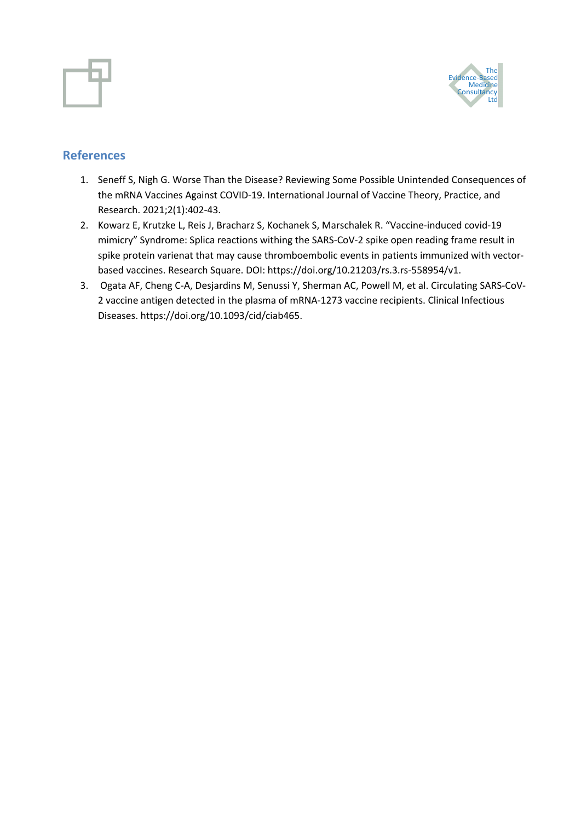



### **References**

- 1. Seneff S, Nigh G. Worse Than the Disease? Reviewing Some Possible Unintended Consequences of the mRNA Vaccines Against COVID-19. International Journal of Vaccine Theory, Practice, and Research. 2021;2(1):402-43.
- 2. Kowarz E, Krutzke L, Reis J, Bracharz S, Kochanek S, Marschalek R. "Vaccine-induced covid-19 mimicry" Syndrome: Splica reactions withing the SARS-CoV-2 spike open reading frame result in spike protein varienat that may cause thromboembolic events in patients immunized with vectorbased vaccines. Research Square. DOI: https://doi.org/10.21203/rs.3.rs-558954/v1.
- 3. Ogata AF, Cheng C-A, Desjardins M, Senussi Y, Sherman AC, Powell M, et al. Circulating SARS-CoV-2 vaccine antigen detected in the plasma of mRNA-1273 vaccine recipients. Clinical Infectious Diseases. https://doi.org/10.1093/cid/ciab465.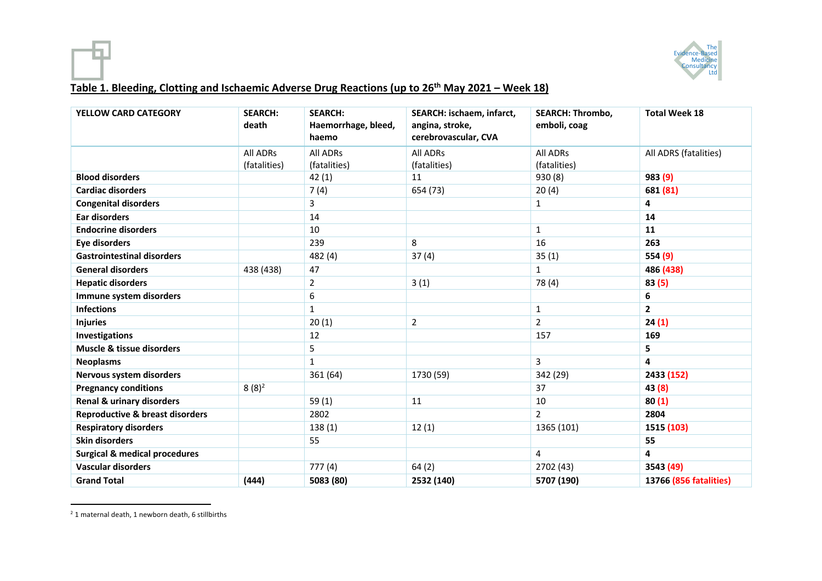

#### **Table 1. Bleeding, Clotting and Ischaemic Adverse Drug Reactions (up to 26th May 2021 – Week 18)**

| <b>YELLOW CARD CATEGORY</b>                | <b>SEARCH:</b><br>death | <b>SEARCH:</b><br>Haemorrhage, bleed,<br>haemo | SEARCH: ischaem, infarct,<br>angina, stroke,<br>cerebrovascular, CVA | <b>SEARCH: Thrombo,</b><br>emboli, coag | <b>Total Week 18</b>    |
|--------------------------------------------|-------------------------|------------------------------------------------|----------------------------------------------------------------------|-----------------------------------------|-------------------------|
|                                            | All ADRs                | All ADRs                                       | <b>All ADRs</b>                                                      | All ADRs                                | All ADRS (fatalities)   |
|                                            | (fatalities)            | (fatalities)                                   | (fatalities)                                                         | (fatalities)                            |                         |
| <b>Blood disorders</b>                     |                         | 42(1)                                          | 11                                                                   | 930 (8)                                 | 983 (9)                 |
| <b>Cardiac disorders</b>                   |                         | 7(4)                                           | 654 (73)                                                             | 20(4)                                   | 681 (81)                |
| <b>Congenital disorders</b>                |                         | 3                                              |                                                                      | 1                                       | 4                       |
| Ear disorders                              |                         | 14                                             |                                                                      |                                         | 14                      |
| <b>Endocrine disorders</b>                 |                         | 10                                             |                                                                      | 1                                       | 11                      |
| <b>Eye disorders</b>                       |                         | 239                                            | 8                                                                    | 16                                      | 263                     |
| <b>Gastrointestinal disorders</b>          |                         | 482 (4)                                        | 37(4)                                                                | 35(1)                                   | 554 (9)                 |
| <b>General disorders</b>                   | 438 (438)               | 47                                             |                                                                      | $\mathbf 1$                             | 486 (438)               |
| <b>Hepatic disorders</b>                   |                         | 2                                              | 3(1)                                                                 | 78 (4)                                  | 83(5)                   |
| Immune system disorders                    |                         | 6                                              |                                                                      |                                         | 6                       |
| <b>Infections</b>                          |                         | $\mathbf{1}$                                   |                                                                      | $\mathbf{1}$                            | $\overline{2}$          |
| <b>Injuries</b>                            |                         | 20(1)                                          | $\overline{2}$                                                       | $\overline{2}$                          | 24(1)                   |
| <b>Investigations</b>                      |                         | 12                                             |                                                                      | 157                                     | 169                     |
| Muscle & tissue disorders                  |                         | 5                                              |                                                                      |                                         | 5                       |
| <b>Neoplasms</b>                           |                         | $\mathbf{1}$                                   |                                                                      | 3                                       | $\overline{\mathbf{4}}$ |
| Nervous system disorders                   |                         | 361 (64)                                       | 1730 (59)                                                            | 342 (29)                                | 2433 (152)              |
| <b>Pregnancy conditions</b>                | $8(8)^2$                |                                                |                                                                      | 37                                      | 43 (8)                  |
| <b>Renal &amp; urinary disorders</b>       |                         | 59(1)                                          | 11                                                                   | 10                                      | 80(1)                   |
| <b>Reproductive &amp; breast disorders</b> |                         | 2802                                           |                                                                      | $\overline{2}$                          | 2804                    |
| <b>Respiratory disorders</b>               |                         | 138(1)                                         | 12(1)                                                                | 1365 (101)                              | 1515 (103)              |
| <b>Skin disorders</b>                      |                         | 55                                             |                                                                      |                                         | 55                      |
| <b>Surgical &amp; medical procedures</b>   |                         |                                                |                                                                      | 4                                       | 4                       |
| <b>Vascular disorders</b>                  |                         | 777(4)                                         | 64(2)                                                                | 2702 (43)                               | 3543 (49)               |
| <b>Grand Total</b>                         | (444)                   | 5083 (80)                                      | 2532 (140)                                                           | 5707 (190)                              | 13766 (856 fatalities)  |

<sup>&</sup>lt;sup>2</sup> 1 maternal death, 1 newborn death, 6 stillbirths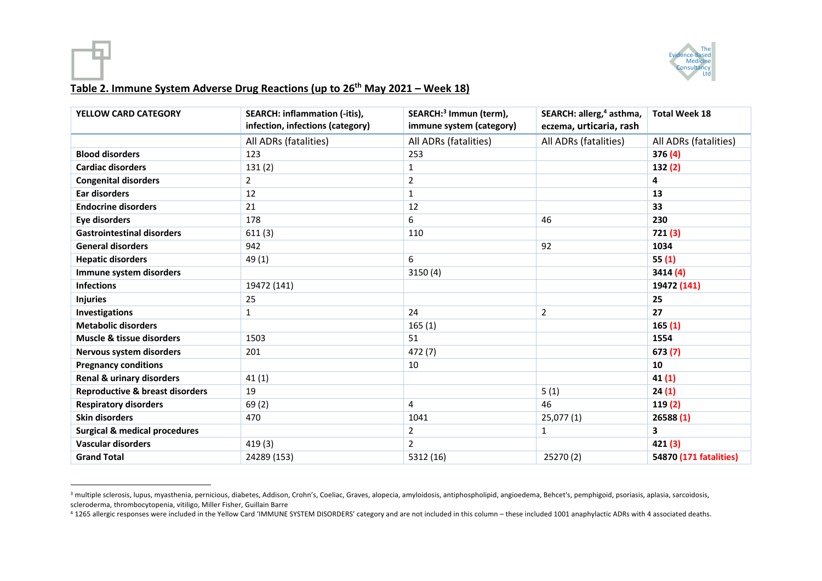

#### **Table 2. Immune System Adverse Drug Reactions (up to 26th May 2021 – Week 18)**

| <b>YELLOW CARD CATEGORY</b>                | <b>SEARCH: inflammation (-itis),</b><br>infection, infections (category) | SEARCH: <sup>3</sup> Immun (term),<br>immune system (category) | SEARCH: allerg, <sup>4</sup> asthma,<br>eczema, urticaria, rash | <b>Total Week 18</b>   |
|--------------------------------------------|--------------------------------------------------------------------------|----------------------------------------------------------------|-----------------------------------------------------------------|------------------------|
|                                            | All ADRs (fatalities)                                                    | All ADRs (fatalities)                                          | All ADRs (fatalities)                                           | All ADRs (fatalities)  |
| <b>Blood disorders</b>                     | 123                                                                      | 253                                                            |                                                                 | 376(4)                 |
| <b>Cardiac disorders</b>                   | 131(2)                                                                   | $\mathbf{1}$                                                   |                                                                 | 132(2)                 |
| <b>Congenital disorders</b>                | $\overline{2}$                                                           | 2                                                              |                                                                 | 4                      |
| <b>Ear disorders</b>                       | 12                                                                       | $\mathbf{1}$                                                   |                                                                 | 13                     |
| <b>Endocrine disorders</b>                 | 21                                                                       | 12                                                             |                                                                 | 33                     |
| <b>Eye disorders</b>                       | 178                                                                      | 6                                                              | 46                                                              | 230                    |
| <b>Gastrointestinal disorders</b>          | 611(3)                                                                   | 110                                                            |                                                                 | 721(3)                 |
| <b>General disorders</b>                   | 942                                                                      |                                                                | 92                                                              | 1034                   |
| <b>Hepatic disorders</b>                   | 49 (1)                                                                   | 6                                                              |                                                                 | 55(1)                  |
| Immune system disorders                    |                                                                          | 3150 (4)                                                       |                                                                 | 3414 (4)               |
| <b>Infections</b>                          | 19472 (141)                                                              |                                                                |                                                                 | 19472 (141)            |
| <b>Injuries</b>                            | 25                                                                       |                                                                |                                                                 | 25                     |
| <b>Investigations</b>                      | 1                                                                        | 24                                                             | $\overline{2}$                                                  | 27                     |
| <b>Metabolic disorders</b>                 |                                                                          | 165(1)                                                         |                                                                 | 165(1)                 |
| Muscle & tissue disorders                  | 1503                                                                     | 51                                                             |                                                                 | 1554                   |
| Nervous system disorders                   | 201                                                                      | 472 (7)                                                        |                                                                 | 673(7)                 |
| <b>Pregnancy conditions</b>                |                                                                          | 10                                                             |                                                                 | 10                     |
| <b>Renal &amp; urinary disorders</b>       | 41(1)                                                                    |                                                                |                                                                 | 41(1)                  |
| <b>Reproductive &amp; breast disorders</b> | 19                                                                       |                                                                | 5(1)                                                            | 24(1)                  |
| <b>Respiratory disorders</b>               | 69(2)                                                                    | 4                                                              | 46                                                              | 119(2)                 |
| <b>Skin disorders</b>                      | 470                                                                      | 1041                                                           | 25,077(1)                                                       | 26588(1)               |
| <b>Surgical &amp; medical procedures</b>   |                                                                          | $\mathbf 2$                                                    | $\mathbf{1}$                                                    | 3                      |
| <b>Vascular disorders</b>                  | 419(3)                                                                   | $\overline{2}$                                                 |                                                                 | 421 (3)                |
| <b>Grand Total</b>                         | 24289 (153)                                                              | 5312 (16)                                                      | 25270 (2)                                                       | 54870 (171 fatalities) |

<sup>&</sup>lt;sup>3</sup> multiple sclerosis, lupus, myasthenia, pernicious, diabetes, Addison, Crohn's, Coeliac, Graves, alopecia, amyloidosis, antiphospholipid, angioedema, Behcet's, pemphigoid, psoriasis, aplasia, sarcoidosis, scleroderma, thrombocytopenia, vitiligo, Miller Fisher, Guillain Barre

<sup>4</sup> 1265 allergic responses were included in the Yellow Card 'IMMUNE SYSTEM DISORDERS' category and are not included in this column – these included 1001 anaphylactic ADRs with 4 associated deaths.